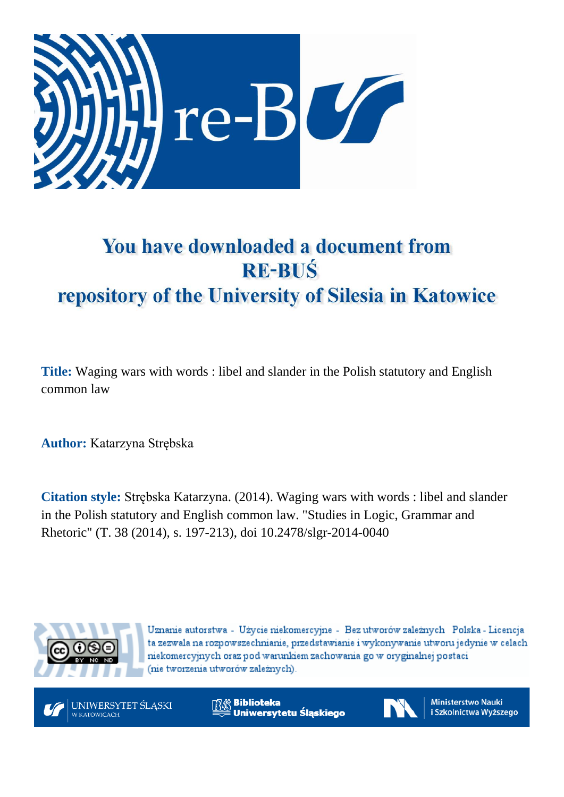

# You have downloaded a document from **RE-BUŚ** repository of the University of Silesia in Katowice

**Title:** Waging wars with words : libel and slander in the Polish statutory and English common law

**Author:** Katarzyna Strębska

**Citation style:** Strębska Katarzyna. (2014). Waging wars with words : libel and slander in the Polish statutory and English common law. ["Studies in Logic, Grammar and](https://www.scopus.com/sourceid/21100205925?origin=recordpage)  [Rhetoric"](https://www.scopus.com/sourceid/21100205925?origin=recordpage) (T. 38 (2014), s. 197-213), doi 10.2478/slgr-2014-0040



Uznanie autorstwa - Użycie niekomercyjne - Bez utworów zależnych Polska - Licencja ta zezwala na rozpowszechnianie, przedstawianie i wykonywanie utworu jedynie w celach niekomercyjnych oraz pod warunkiem zachowania go w oryginalnej postaci (nie tworzenia utworów zależnych).



**Biblioteka** Uniwersytetu Śląskiego



**Ministerstwo Nauki** i Szkolnictwa Wyższego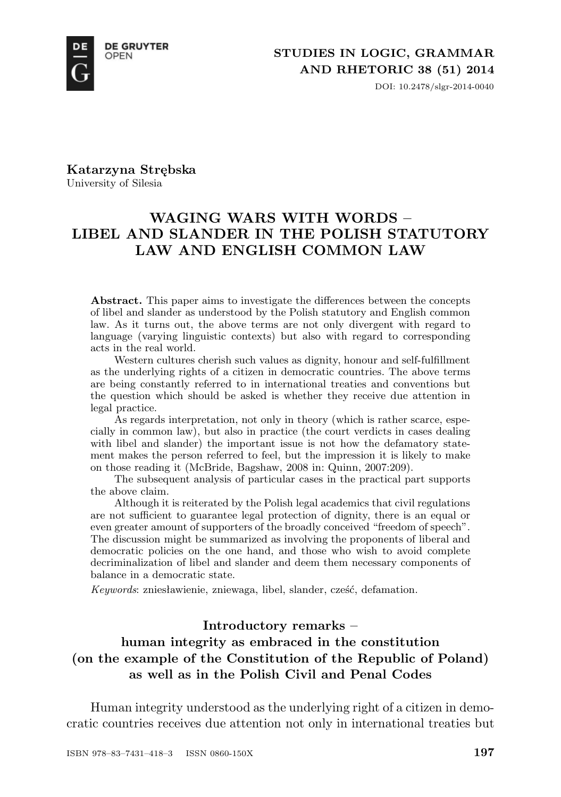

DOI: 10.2478/slgr-2014-0040

**Katarzyna Strębska** University of Silesia

# **WAGING WARS WITH WORDS – LIBEL AND SLANDER IN THE POLISH STATUTORY LAW AND ENGLISH COMMON LAW**

**Abstract.** This paper aims to investigate the differences between the concepts of libel and slander as understood by the Polish statutory and English common law. As it turns out, the above terms are not only divergent with regard to language (varying linguistic contexts) but also with regard to corresponding acts in the real world.

Western cultures cherish such values as dignity, honour and self-fulfillment as the underlying rights of a citizen in democratic countries. The above terms are being constantly referred to in international treaties and conventions but the question which should be asked is whether they receive due attention in legal practice.

As regards interpretation, not only in theory (which is rather scarce, especially in common law), but also in practice (the court verdicts in cases dealing with libel and slander) the important issue is not how the defamatory statement makes the person referred to feel, but the impression it is likely to make on those reading it (McBride, Bagshaw, 2008 in: Quinn, 2007:209).

The subsequent analysis of particular cases in the practical part supports the above claim.

Although it is reiterated by the Polish legal academics that civil regulations are not sufficient to guarantee legal protection of dignity, there is an equal or even greater amount of supporters of the broadly conceived "freedom of speech". The discussion might be summarized as involving the proponents of liberal and democratic policies on the one hand, and those who wish to avoid complete decriminalization of libel and slander and deem them necessary components of balance in a democratic state.

*Keywords*: zniesławienie, zniewaga, libel, slander, cześć, defamation.

## **Introductory remarks –**

# **human integrity as embraced in the constitution (on the example of the Constitution of the Republic of Poland) as well as in the Polish Civil and Penal Codes**

Human integrity understood as the underlying right of a citizen in democratic countries receives due attention not only in international treaties but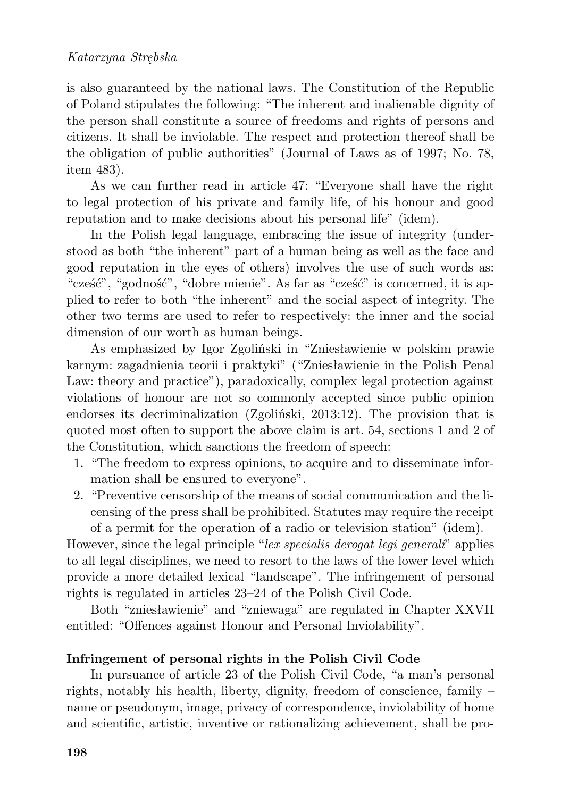is also guaranteed by the national laws. The Constitution of the Republic of Poland stipulates the following: "The inherent and inalienable dignity of the person shall constitute a source of freedoms and rights of persons and citizens. It shall be inviolable. The respect and protection thereof shall be the obligation of public authorities" (Journal of Laws as of 1997; No. 78, item 483).

As we can further read in article 47: "Everyone shall have the right to legal protection of his private and family life, of his honour and good reputation and to make decisions about his personal life" (idem).

In the Polish legal language, embracing the issue of integrity (understood as both "the inherent" part of a human being as well as the face and good reputation in the eyes of others) involves the use of such words as: "cześć", "godność", "dobre mienie". As far as "cześć" is concerned, it is applied to refer to both "the inherent" and the social aspect of integrity. The other two terms are used to refer to respectively: the inner and the social dimension of our worth as human beings.

As emphasized by Igor Zgoliński in "Zniesławienie w polskim prawie karnym: zagadnienia teorii i praktyki" ("Zniesławienie in the Polish Penal Law: theory and practice"), paradoxically, complex legal protection against violations of honour are not so commonly accepted since public opinion endorses its decriminalization (Zgoliński, 2013:12). The provision that is quoted most often to support the above claim is art. 54, sections 1 and 2 of the Constitution, which sanctions the freedom of speech:

- 1. "The freedom to express opinions, to acquire and to disseminate information shall be ensured to everyone".
- 2. "Preventive censorship of the means of social communication and the licensing of the press shall be prohibited. Statutes may require the receipt of a permit for the operation of a radio or television station" (idem).

However, since the legal principle "*lex specialis derogat legi generali*" applies to all legal disciplines, we need to resort to the laws of the lower level which provide a more detailed lexical "landscape". The infringement of personal rights is regulated in articles 23–24 of the Polish Civil Code.

Both "zniesławienie" and "zniewaga" are regulated in Chapter XXVII entitled: "Offences against Honour and Personal Inviolability".

## **Infringement of personal rights in the Polish Civil Code**

In pursuance of article 23 of the Polish Civil Code, "a man's personal rights, notably his health, liberty, dignity, freedom of conscience, family – name or pseudonym, image, privacy of correspondence, inviolability of home and scientific, artistic, inventive or rationalizing achievement, shall be pro-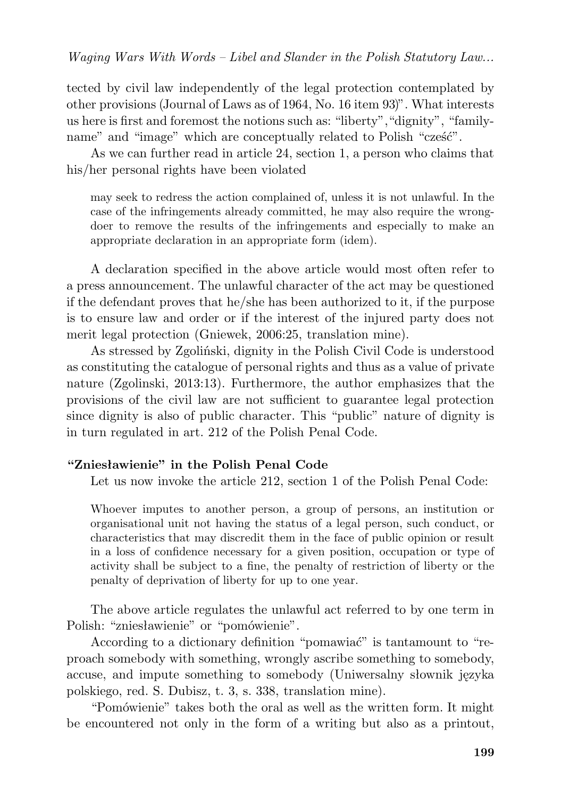tected by civil law independently of the legal protection contemplated by other provisions (Journal of Laws as of 1964, No. 16 item 93)". What interests us here is first and foremost the notions such as: "liberty", "dignity", "familyname" and "image" which are conceptually related to Polish "cześć".

As we can further read in article 24, section 1, a person who claims that his/her personal rights have been violated

may seek to redress the action complained of, unless it is not unlawful. In the case of the infringements already committed, he may also require the wrongdoer to remove the results of the infringements and especially to make an appropriate declaration in an appropriate form (idem).

A declaration specified in the above article would most often refer to a press announcement. The unlawful character of the act may be questioned if the defendant proves that he/she has been authorized to it, if the purpose is to ensure law and order or if the interest of the injured party does not merit legal protection (Gniewek, 2006:25, translation mine).

As stressed by Zgoliński, dignity in the Polish Civil Code is understood as constituting the catalogue of personal rights and thus as a value of private nature (Zgolinski, 2013:13). Furthermore, the author emphasizes that the provisions of the civil law are not sufficient to guarantee legal protection since dignity is also of public character. This "public" nature of dignity is in turn regulated in art. 212 of the Polish Penal Code.

### **"Zniesławienie" in the Polish Penal Code**

Let us now invoke the article 212, section 1 of the Polish Penal Code:

Whoever imputes to another person, a group of persons, an institution or organisational unit not having the status of a legal person, such conduct, or characteristics that may discredit them in the face of public opinion or result in a loss of confidence necessary for a given position, occupation or type of activity shall be subject to a fine, the penalty of restriction of liberty or the penalty of deprivation of liberty for up to one year.

The above article regulates the unlawful act referred to by one term in Polish: "zniesławienie" or "pomówienie".

According to a dictionary definition "pomawiać" is tantamount to "reproach somebody with something, wrongly ascribe something to somebody, accuse, and impute something to somebody (Uniwersalny słownik języka polskiego, red. S. Dubisz, t. 3, s. 338, translation mine).

"Pomówienie" takes both the oral as well as the written form. It might be encountered not only in the form of a writing but also as a printout,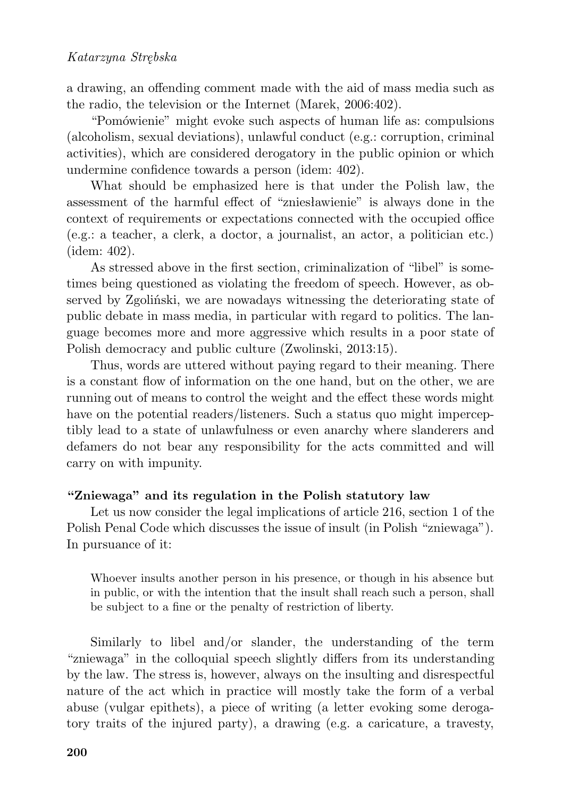a drawing, an offending comment made with the aid of mass media such as the radio, the television or the Internet (Marek, 2006:402).

"Pomówienie" might evoke such aspects of human life as: compulsions (alcoholism, sexual deviations), unlawful conduct (e.g.: corruption, criminal activities), which are considered derogatory in the public opinion or which undermine confidence towards a person (idem: 402).

What should be emphasized here is that under the Polish law, the assessment of the harmful effect of "zniesławienie" is always done in the context of requirements or expectations connected with the occupied office (e.g.: a teacher, a clerk, a doctor, a journalist, an actor, a politician etc.) (idem: 402).

As stressed above in the first section, criminalization of "libel" is sometimes being questioned as violating the freedom of speech. However, as observed by Zgoliński, we are nowadays witnessing the deteriorating state of public debate in mass media, in particular with regard to politics. The language becomes more and more aggressive which results in a poor state of Polish democracy and public culture (Zwolinski, 2013:15).

Thus, words are uttered without paying regard to their meaning. There is a constant flow of information on the one hand, but on the other, we are running out of means to control the weight and the effect these words might have on the potential readers/listeners. Such a status quo might imperceptibly lead to a state of unlawfulness or even anarchy where slanderers and defamers do not bear any responsibility for the acts committed and will carry on with impunity.

## **"Zniewaga" and its regulation in the Polish statutory law**

Let us now consider the legal implications of article 216, section 1 of the Polish Penal Code which discusses the issue of insult (in Polish "zniewaga"). In pursuance of it:

Whoever insults another person in his presence, or though in his absence but in public, or with the intention that the insult shall reach such a person, shall be subject to a fine or the penalty of restriction of liberty.

Similarly to libel and/or slander, the understanding of the term "zniewaga" in the colloquial speech slightly differs from its understanding by the law. The stress is, however, always on the insulting and disrespectful nature of the act which in practice will mostly take the form of a verbal abuse (vulgar epithets), a piece of writing (a letter evoking some derogatory traits of the injured party), a drawing (e.g. a caricature, a travesty,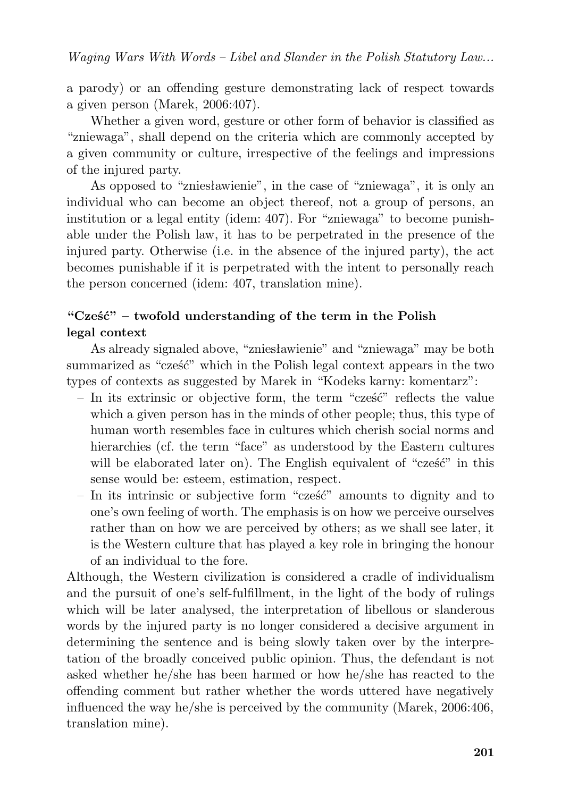a parody) or an offending gesture demonstrating lack of respect towards a given person (Marek, 2006:407).

Whether a given word, gesture or other form of behavior is classified as "zniewaga", shall depend on the criteria which are commonly accepted by a given community or culture, irrespective of the feelings and impressions of the injured party.

As opposed to "zniesławienie", in the case of "zniewaga", it is only an individual who can become an object thereof, not a group of persons, an institution or a legal entity (idem: 407). For "zniewaga" to become punishable under the Polish law, it has to be perpetrated in the presence of the injured party. Otherwise (i.e. in the absence of the injured party), the act becomes punishable if it is perpetrated with the intent to personally reach the person concerned (idem: 407, translation mine).

# **"Cześć" – twofold understanding of the term in the Polish legal context**

As already signaled above, "zniesławienie" and "zniewaga" may be both summarized as "cześć" which in the Polish legal context appears in the two types of contexts as suggested by Marek in "Kodeks karny: komentarz":

- In its extrinsic or objective form, the term "cześć" reflects the value which a given person has in the minds of other people; thus, this type of human worth resembles face in cultures which cherish social norms and hierarchies (cf. the term "face" as understood by the Eastern cultures will be elaborated later on). The English equivalent of "cześć" in this sense would be: esteem, estimation, respect.
- In its intrinsic or subjective form "cześć" amounts to dignity and to one's own feeling of worth. The emphasis is on how we perceive ourselves rather than on how we are perceived by others; as we shall see later, it is the Western culture that has played a key role in bringing the honour of an individual to the fore.

Although, the Western civilization is considered a cradle of individualism and the pursuit of one's self-fulfillment, in the light of the body of rulings which will be later analysed, the interpretation of libellous or slanderous words by the injured party is no longer considered a decisive argument in determining the sentence and is being slowly taken over by the interpretation of the broadly conceived public opinion. Thus, the defendant is not asked whether he/she has been harmed or how he/she has reacted to the offending comment but rather whether the words uttered have negatively influenced the way he/she is perceived by the community (Marek, 2006:406, translation mine).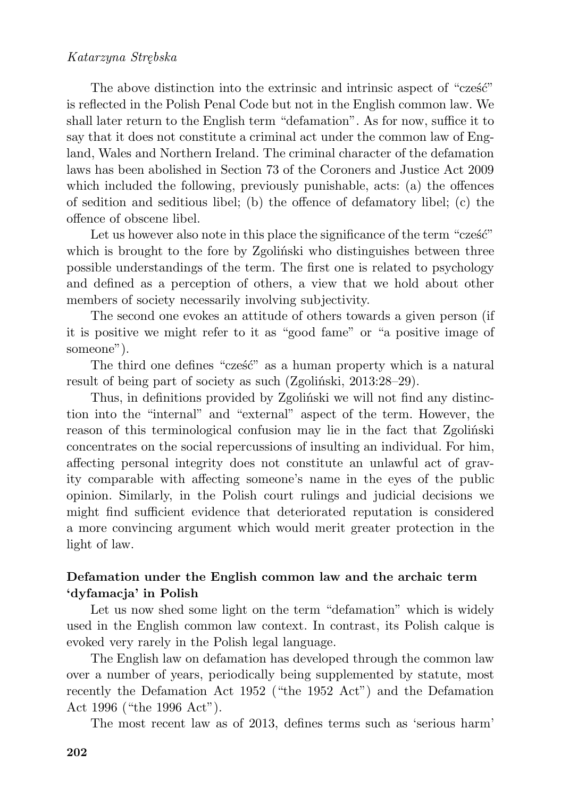## *Katarzyna Strębska*

The above distinction into the extrinsic and intrinsic aspect of "cześć" is reflected in the Polish Penal Code but not in the English common law. We shall later return to the English term "defamation". As for now, suffice it to say that it does not constitute a criminal act under the common law of England, Wales and Northern Ireland. The criminal character of the defamation laws has been abolished in Section 73 of the Coroners and Justice Act 2009 which included the following, previously punishable, acts: (a) the offences of sedition and seditious libel; (b) the offence of defamatory libel; (c) the offence of obscene libel.

Let us however also note in this place the significance of the term "cześć" which is brought to the fore by Zgoliński who distinguishes between three possible understandings of the term. The first one is related to psychology and defined as a perception of others, a view that we hold about other members of society necessarily involving subjectivity.

The second one evokes an attitude of others towards a given person (if it is positive we might refer to it as "good fame" or "a positive image of someone").

The third one defines "cześć" as a human property which is a natural result of being part of society as such (Zgoliński, 2013:28–29).

Thus, in definitions provided by Zgoliński we will not find any distinction into the "internal" and "external" aspect of the term. However, the reason of this terminological confusion may lie in the fact that Zgoliński concentrates on the social repercussions of insulting an individual. For him, affecting personal integrity does not constitute an unlawful act of gravity comparable with affecting someone's name in the eyes of the public opinion. Similarly, in the Polish court rulings and judicial decisions we might find sufficient evidence that deteriorated reputation is considered a more convincing argument which would merit greater protection in the light of law.

## **Defamation under the English common law and the archaic term 'dyfamacja' in Polish**

Let us now shed some light on the term "defamation" which is widely used in the English common law context. In contrast, its Polish calque is evoked very rarely in the Polish legal language.

The English law on defamation has developed through the common law over a number of years, periodically being supplemented by statute, most recently the Defamation Act 1952 ("the 1952 Act") and the Defamation Act 1996 ("the 1996 Act").

The most recent law as of 2013, defines terms such as 'serious harm'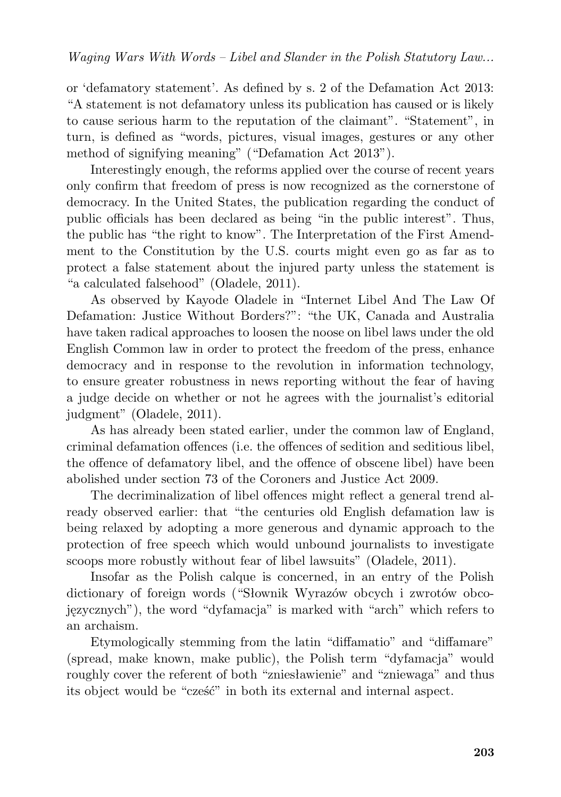or 'defamatory statement'. As defined by s. 2 of the Defamation Act 2013: "A statement is not defamatory unless its publication has caused or is likely to cause serious harm to the reputation of the claimant". "Statement", in turn, is defined as "words, pictures, visual images, gestures or any other method of signifying meaning" ("Defamation Act 2013").

Interestingly enough, the reforms applied over the course of recent years only confirm that freedom of press is now recognized as the cornerstone of democracy. In the United States, the publication regarding the conduct of public officials has been declared as being "in the public interest". Thus, the public has "the right to know". The Interpretation of the First Amendment to the Constitution by the U.S. courts might even go as far as to protect a false statement about the injured party unless the statement is "a calculated falsehood" (Oladele, 2011).

As observed by Kayode Oladele in "Internet Libel And The Law Of Defamation: Justice Without Borders?": "the UK, Canada and Australia have taken radical approaches to loosen the noose on libel laws under the old English Common law in order to protect the freedom of the press, enhance democracy and in response to the revolution in information technology, to ensure greater robustness in news reporting without the fear of having a judge decide on whether or not he agrees with the journalist's editorial judgment" (Oladele, 2011).

As has already been stated earlier, under the common law of England, criminal defamation offences (i.e. the offences of sedition and seditious libel, the offence of defamatory libel, and the offence of obscene libel) have been abolished under section 73 of the Coroners and Justice Act 2009.

The decriminalization of libel offences might reflect a general trend already observed earlier: that "the centuries old English defamation law is being relaxed by adopting a more generous and dynamic approach to the protection of free speech which would unbound journalists to investigate scoops more robustly without fear of libel lawsuits" (Oladele, 2011).

Insofar as the Polish calque is concerned, in an entry of the Polish dictionary of foreign words ("Słownik Wyrazów obcych i zwrotów obcojęzycznych"), the word "dyfamacja" is marked with "arch" which refers to an archaism.

Etymologically stemming from the latin "diffamatio" and "diffamare" (spread, make known, make public), the Polish term "dyfamacja" would roughly cover the referent of both "zniesławienie" and "zniewaga" and thus its object would be "cześć" in both its external and internal aspect.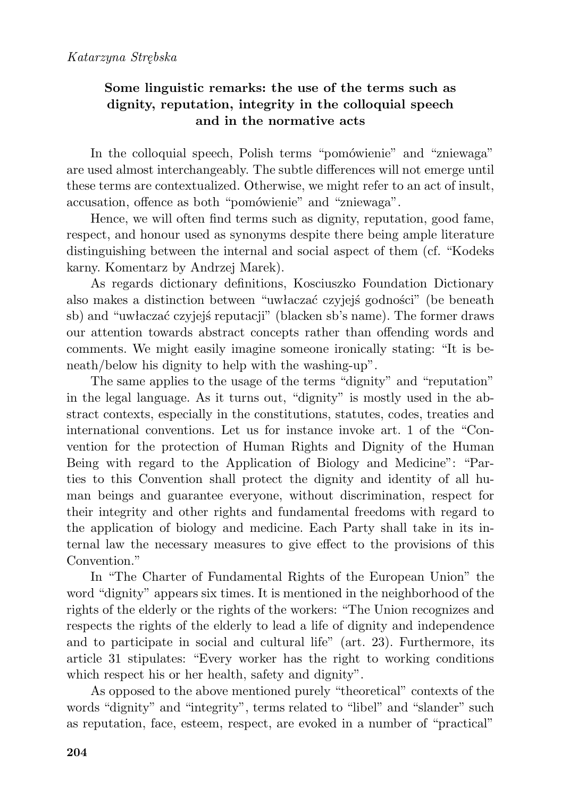## **Some linguistic remarks: the use of the terms such as dignity, reputation, integrity in the colloquial speech and in the normative acts**

In the colloquial speech, Polish terms "pomówienie" and "zniewaga" are used almost interchangeably. The subtle differences will not emerge until these terms are contextualized. Otherwise, we might refer to an act of insult, accusation, offence as both "pomówienie" and "zniewaga".

Hence, we will often find terms such as dignity, reputation, good fame, respect, and honour used as synonyms despite there being ample literature distinguishing between the internal and social aspect of them (cf. "Kodeks karny. Komentarz by Andrzej Marek).

As regards dictionary definitions, Kosciuszko Foundation Dictionary also makes a distinction between "uwłaczać czyjejś godności" (be beneath sb) and "uwłaczać czyjejś reputacji" (blacken sb's name). The former draws our attention towards abstract concepts rather than offending words and comments. We might easily imagine someone ironically stating: "It is beneath/below his dignity to help with the washing-up".

The same applies to the usage of the terms "dignity" and "reputation" in the legal language. As it turns out, "dignity" is mostly used in the abstract contexts, especially in the constitutions, statutes, codes, treaties and international conventions. Let us for instance invoke art. 1 of the "Convention for the protection of Human Rights and Dignity of the Human Being with regard to the Application of Biology and Medicine": "Parties to this Convention shall protect the dignity and identity of all human beings and guarantee everyone, without discrimination, respect for their integrity and other rights and fundamental freedoms with regard to the application of biology and medicine. Each Party shall take in its internal law the necessary measures to give effect to the provisions of this Convention."

In "The Charter of Fundamental Rights of the European Union" the word "dignity" appears six times. It is mentioned in the neighborhood of the rights of the elderly or the rights of the workers: "The Union recognizes and respects the rights of the elderly to lead a life of dignity and independence and to participate in social and cultural life" (art. 23). Furthermore, its article 31 stipulates: "Every worker has the right to working conditions which respect his or her health, safety and dignity".

As opposed to the above mentioned purely "theoretical" contexts of the words "dignity" and "integrity", terms related to "libel" and "slander" such as reputation, face, esteem, respect, are evoked in a number of "practical"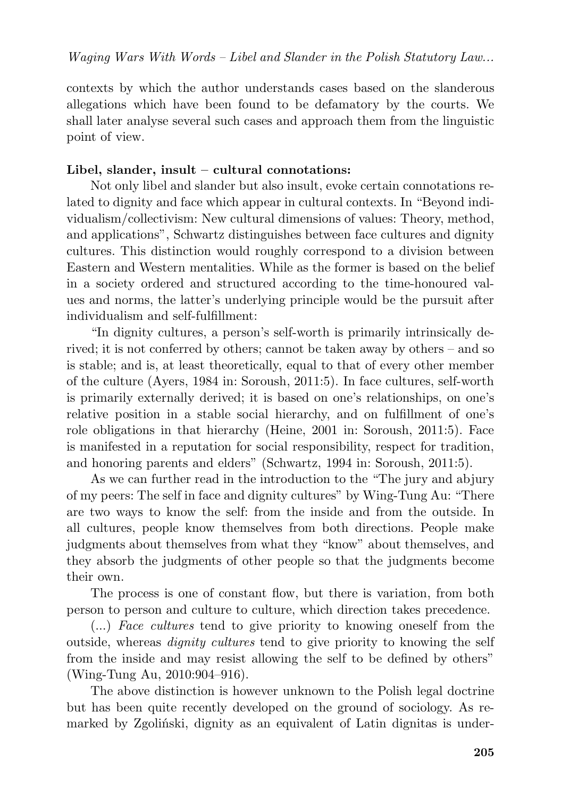contexts by which the author understands cases based on the slanderous allegations which have been found to be defamatory by the courts. We shall later analyse several such cases and approach them from the linguistic point of view.

## **Libel, slander, insult – cultural connotations:**

Not only libel and slander but also insult, evoke certain connotations related to dignity and face which appear in cultural contexts. In "Beyond individualism/collectivism: New cultural dimensions of values: Theory, method, and applications", Schwartz distinguishes between face cultures and dignity cultures. This distinction would roughly correspond to a division between Eastern and Western mentalities. While as the former is based on the belief in a society ordered and structured according to the time-honoured values and norms, the latter's underlying principle would be the pursuit after individualism and self-fulfillment:

"In dignity cultures, a person's self-worth is primarily intrinsically derived; it is not conferred by others; cannot be taken away by others – and so is stable; and is, at least theoretically, equal to that of every other member of the culture (Ayers, 1984 in: Soroush, 2011:5). In face cultures, self-worth is primarily externally derived; it is based on one's relationships, on one's relative position in a stable social hierarchy, and on fulfillment of one's role obligations in that hierarchy (Heine, 2001 in: Soroush, 2011:5). Face is manifested in a reputation for social responsibility, respect for tradition, and honoring parents and elders" (Schwartz, 1994 in: Soroush, 2011:5).

As we can further read in the introduction to the "The jury and abjury of my peers: The self in face and dignity cultures" by Wing-Tung Au: "There are two ways to know the self: from the inside and from the outside. In all cultures, people know themselves from both directions. People make judgments about themselves from what they "know" about themselves, and they absorb the judgments of other people so that the judgments become their own.

The process is one of constant flow, but there is variation, from both person to person and culture to culture, which direction takes precedence.

(...) *Face cultures* tend to give priority to knowing oneself from the outside, whereas *dignity cultures* tend to give priority to knowing the self from the inside and may resist allowing the self to be defined by others" (Wing-Tung Au, 2010:904–916).

The above distinction is however unknown to the Polish legal doctrine but has been quite recently developed on the ground of sociology. As remarked by Zgoliński, dignity as an equivalent of Latin dignitas is under-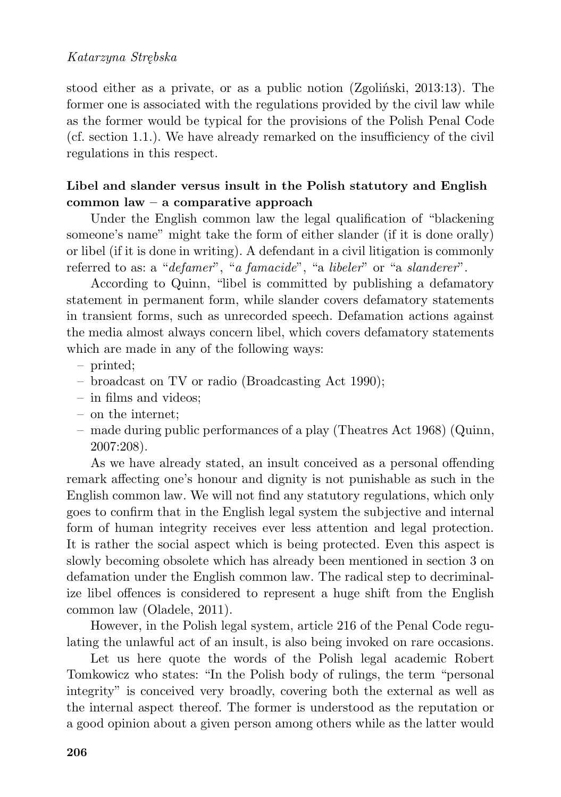## *Katarzyna Strębska*

stood either as a private, or as a public notion (Zgoliński, 2013:13). The former one is associated with the regulations provided by the civil law while as the former would be typical for the provisions of the Polish Penal Code (cf. section 1.1.). We have already remarked on the insufficiency of the civil regulations in this respect.

## **Libel and slander versus insult in the Polish statutory and English common law – a comparative approach**

Under the English common law the legal qualification of "blackening someone's name" might take the form of either slander (if it is done orally) or libel (if it is done in writing). A defendant in a civil litigation is commonly referred to as: a "*defamer*", "*a famacide*", "a *libeler*" or "a *slanderer*".

According to Quinn, "libel is committed by publishing a defamatory statement in permanent form, while slander covers defamatory statements in transient forms, such as unrecorded speech. Defamation actions against the media almost always concern libel, which covers defamatory statements which are made in any of the following ways:

- printed;
- broadcast on TV or radio (Broadcasting Act 1990);
- in films and videos;
- on the internet;
- made during public performances of a play (Theatres Act 1968) (Quinn, 2007:208).

As we have already stated, an insult conceived as a personal offending remark affecting one's honour and dignity is not punishable as such in the English common law. We will not find any statutory regulations, which only goes to confirm that in the English legal system the subjective and internal form of human integrity receives ever less attention and legal protection. It is rather the social aspect which is being protected. Even this aspect is slowly becoming obsolete which has already been mentioned in section 3 on defamation under the English common law. The radical step to decriminalize libel offences is considered to represent a huge shift from the English common law (Oladele, 2011).

However, in the Polish legal system, article 216 of the Penal Code regulating the unlawful act of an insult, is also being invoked on rare occasions.

Let us here quote the words of the Polish legal academic Robert Tomkowicz who states: "In the Polish body of rulings, the term "personal integrity" is conceived very broadly, covering both the external as well as the internal aspect thereof. The former is understood as the reputation or a good opinion about a given person among others while as the latter would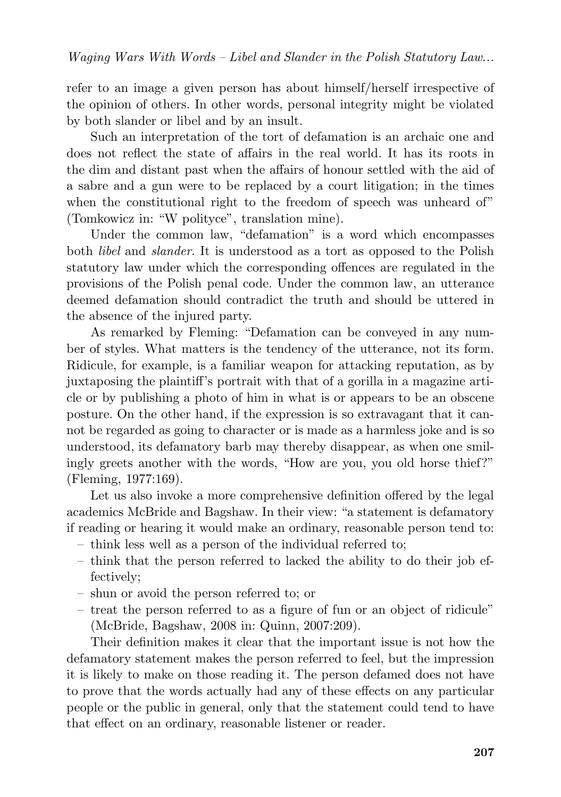refer to an image a given person has about himself/herself irrespective of the opinion of others. In other words, personal integrity might be violated by both slander or libel and by an insult.

Such an interpretation of the tort of defamation is an archaic one and does not reflect the state of affairs in the real world. It has its roots in the dim and distant past when the affairs of honour settled with the aid of a sabre and a gun were to be replaced by a court litigation; in the times when the constitutional right to the freedom of speech was unheard of" (Tomkowicz in: "W polityce", translation mine).

Under the common law, "defamation" is a word which encompasses both *libel* and *slander*. It is understood as a tort as opposed to the Polish statutory law under which the corresponding offences are regulated in the provisions of the Polish penal code. Under the common law, an utterance deemed defamation should contradict the truth and should be uttered in the absence of the injured party.

As remarked by Fleming: "Defamation can be conveyed in any number of styles. What matters is the tendency of the utterance, not its form. Ridicule, for example, is a familiar weapon for attacking reputation, as by juxtaposing the plaintiff's portrait with that of a gorilla in a magazine article or by publishing a photo of him in what is or appears to be an obscene posture. On the other hand, if the expression is so extravagant that it cannot be regarded as going to character or is made as a harmless joke and is so understood, its defamatory barb may thereby disappear, as when one smilingly greets another with the words, "How are you, you old horse thief?" (Fleming, 1977:169).

Let us also invoke a more comprehensive definition offered by the legal academics McBride and Bagshaw. In their view: "a statement is defamatory if reading or hearing it would make an ordinary, reasonable person tend to:

- think less well as a person of the individual referred to;
- think that the person referred to lacked the ability to do their job effectively;
- shun or avoid the person referred to; or
- treat the person referred to as a figure of fun or an object of ridicule" (McBride, Bagshaw, 2008 in: Quinn, 2007:209).

Their definition makes it clear that the important issue is not how the defamatory statement makes the person referred to feel, but the impression it is likely to make on those reading it. The person defamed does not have to prove that the words actually had any of these effects on any particular people or the public in general, only that the statement could tend to have that effect on an ordinary, reasonable listener or reader.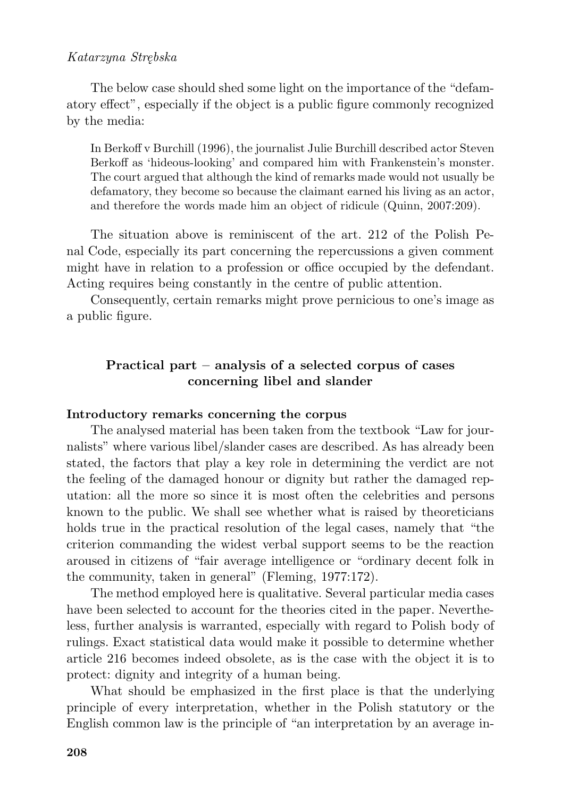### *Katarzyna Strębska*

The below case should shed some light on the importance of the "defamatory effect", especially if the object is a public figure commonly recognized by the media:

In Berkoff v Burchill (1996), the journalist Julie Burchill described actor Steven Berkoff as 'hideous-looking' and compared him with Frankenstein's monster. The court argued that although the kind of remarks made would not usually be defamatory, they become so because the claimant earned his living as an actor, and therefore the words made him an object of ridicule (Quinn, 2007:209).

The situation above is reminiscent of the art. 212 of the Polish Penal Code, especially its part concerning the repercussions a given comment might have in relation to a profession or office occupied by the defendant. Acting requires being constantly in the centre of public attention.

Consequently, certain remarks might prove pernicious to one's image as a public figure.

## **Practical part – analysis of a selected corpus of cases concerning libel and slander**

#### **Introductory remarks concerning the corpus**

The analysed material has been taken from the textbook "Law for journalists" where various libel/slander cases are described. As has already been stated, the factors that play a key role in determining the verdict are not the feeling of the damaged honour or dignity but rather the damaged reputation: all the more so since it is most often the celebrities and persons known to the public. We shall see whether what is raised by theoreticians holds true in the practical resolution of the legal cases, namely that "the criterion commanding the widest verbal support seems to be the reaction aroused in citizens of "fair average intelligence or "ordinary decent folk in the community, taken in general" (Fleming, 1977:172).

The method employed here is qualitative. Several particular media cases have been selected to account for the theories cited in the paper. Nevertheless, further analysis is warranted, especially with regard to Polish body of rulings. Exact statistical data would make it possible to determine whether article 216 becomes indeed obsolete, as is the case with the object it is to protect: dignity and integrity of a human being.

What should be emphasized in the first place is that the underlying principle of every interpretation, whether in the Polish statutory or the English common law is the principle of "an interpretation by an average in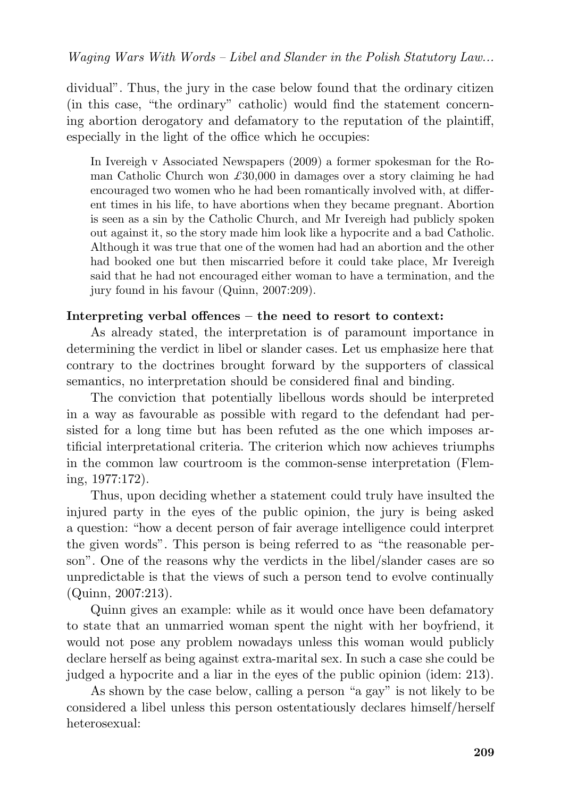dividual". Thus, the jury in the case below found that the ordinary citizen (in this case, "the ordinary" catholic) would find the statement concerning abortion derogatory and defamatory to the reputation of the plaintiff, especially in the light of the office which he occupies:

In Ivereigh v Associated Newspapers (2009) a former spokesman for the Roman Catholic Church won *£*30,000 in damages over a story claiming he had encouraged two women who he had been romantically involved with, at different times in his life, to have abortions when they became pregnant. Abortion is seen as a sin by the Catholic Church, and Mr Ivereigh had publicly spoken out against it, so the story made him look like a hypocrite and a bad Catholic. Although it was true that one of the women had had an abortion and the other had booked one but then miscarried before it could take place, Mr Ivereigh said that he had not encouraged either woman to have a termination, and the jury found in his favour (Quinn, 2007:209).

## **Interpreting verbal offences – the need to resort to context:**

As already stated, the interpretation is of paramount importance in determining the verdict in libel or slander cases. Let us emphasize here that contrary to the doctrines brought forward by the supporters of classical semantics, no interpretation should be considered final and binding.

The conviction that potentially libellous words should be interpreted in a way as favourable as possible with regard to the defendant had persisted for a long time but has been refuted as the one which imposes artificial interpretational criteria. The criterion which now achieves triumphs in the common law courtroom is the common-sense interpretation (Fleming, 1977:172).

Thus, upon deciding whether a statement could truly have insulted the injured party in the eyes of the public opinion, the jury is being asked a question: "how a decent person of fair average intelligence could interpret the given words". This person is being referred to as "the reasonable person". One of the reasons why the verdicts in the libel/slander cases are so unpredictable is that the views of such a person tend to evolve continually (Quinn, 2007:213).

Quinn gives an example: while as it would once have been defamatory to state that an unmarried woman spent the night with her boyfriend, it would not pose any problem nowadays unless this woman would publicly declare herself as being against extra-marital sex. In such a case she could be judged a hypocrite and a liar in the eyes of the public opinion (idem: 213).

As shown by the case below, calling a person "a gay" is not likely to be considered a libel unless this person ostentatiously declares himself/herself heterosexual: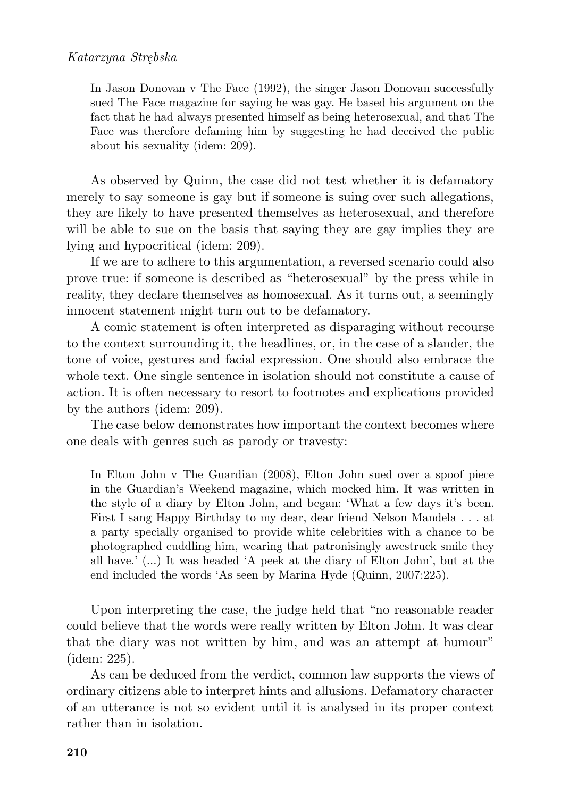In Jason Donovan v The Face (1992), the singer Jason Donovan successfully sued The Face magazine for saying he was gay. He based his argument on the fact that he had always presented himself as being heterosexual, and that The Face was therefore defaming him by suggesting he had deceived the public about his sexuality (idem: 209).

As observed by Quinn, the case did not test whether it is defamatory merely to say someone is gay but if someone is suing over such allegations, they are likely to have presented themselves as heterosexual, and therefore will be able to sue on the basis that saying they are gay implies they are lying and hypocritical (idem: 209).

If we are to adhere to this argumentation, a reversed scenario could also prove true: if someone is described as "heterosexual" by the press while in reality, they declare themselves as homosexual. As it turns out, a seemingly innocent statement might turn out to be defamatory.

A comic statement is often interpreted as disparaging without recourse to the context surrounding it, the headlines, or, in the case of a slander, the tone of voice, gestures and facial expression. One should also embrace the whole text. One single sentence in isolation should not constitute a cause of action. It is often necessary to resort to footnotes and explications provided by the authors (idem: 209).

The case below demonstrates how important the context becomes where one deals with genres such as parody or travesty:

In Elton John v The Guardian (2008), Elton John sued over a spoof piece in the Guardian's Weekend magazine, which mocked him. It was written in the style of a diary by Elton John, and began: 'What a few days it's been. First I sang Happy Birthday to my dear, dear friend Nelson Mandela . . . at a party specially organised to provide white celebrities with a chance to be photographed cuddling him, wearing that patronisingly awestruck smile they all have.' (...) It was headed 'A peek at the diary of Elton John', but at the end included the words 'As seen by Marina Hyde (Quinn, 2007:225).

Upon interpreting the case, the judge held that "no reasonable reader could believe that the words were really written by Elton John. It was clear that the diary was not written by him, and was an attempt at humour" (idem: 225).

As can be deduced from the verdict, common law supports the views of ordinary citizens able to interpret hints and allusions. Defamatory character of an utterance is not so evident until it is analysed in its proper context rather than in isolation.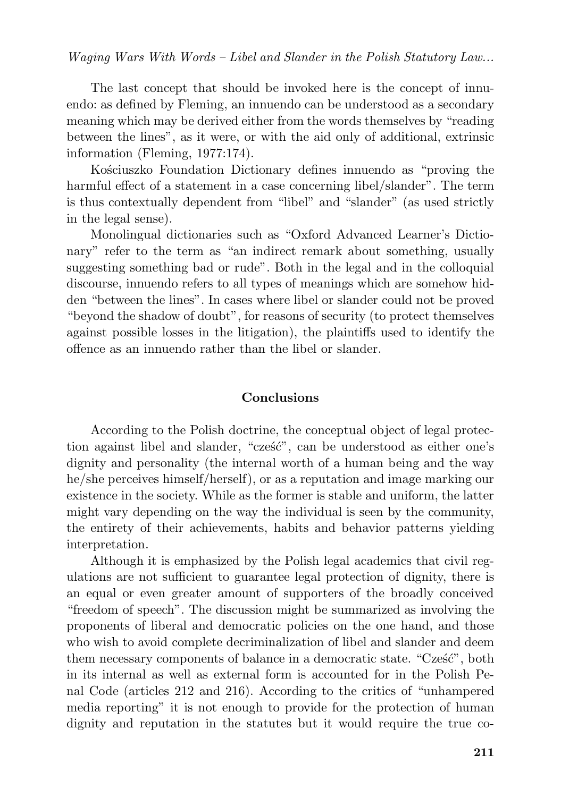#### *Waging Wars With Words – Libel and Slander in the Polish Statutory Law...*

The last concept that should be invoked here is the concept of innuendo: as defined by Fleming, an innuendo can be understood as a secondary meaning which may be derived either from the words themselves by "reading between the lines", as it were, or with the aid only of additional, extrinsic information (Fleming, 1977:174).

Kościuszko Foundation Dictionary defines innuendo as "proving the harmful effect of a statement in a case concerning libel/slander". The term is thus contextually dependent from "libel" and "slander" (as used strictly in the legal sense).

Monolingual dictionaries such as "Oxford Advanced Learner's Dictionary" refer to the term as "an indirect remark about something, usually suggesting something bad or rude". Both in the legal and in the colloquial discourse, innuendo refers to all types of meanings which are somehow hidden "between the lines". In cases where libel or slander could not be proved "beyond the shadow of doubt", for reasons of security (to protect themselves against possible losses in the litigation), the plaintiffs used to identify the offence as an innuendo rather than the libel or slander.

#### **Conclusions**

According to the Polish doctrine, the conceptual object of legal protection against libel and slander, "cześć", can be understood as either one's dignity and personality (the internal worth of a human being and the way he/she perceives himself/herself), or as a reputation and image marking our existence in the society. While as the former is stable and uniform, the latter might vary depending on the way the individual is seen by the community, the entirety of their achievements, habits and behavior patterns yielding interpretation.

Although it is emphasized by the Polish legal academics that civil regulations are not sufficient to guarantee legal protection of dignity, there is an equal or even greater amount of supporters of the broadly conceived "freedom of speech". The discussion might be summarized as involving the proponents of liberal and democratic policies on the one hand, and those who wish to avoid complete decriminalization of libel and slander and deem them necessary components of balance in a democratic state. "Cześć", both in its internal as well as external form is accounted for in the Polish Penal Code (articles 212 and 216). According to the critics of "unhampered media reporting" it is not enough to provide for the protection of human dignity and reputation in the statutes but it would require the true co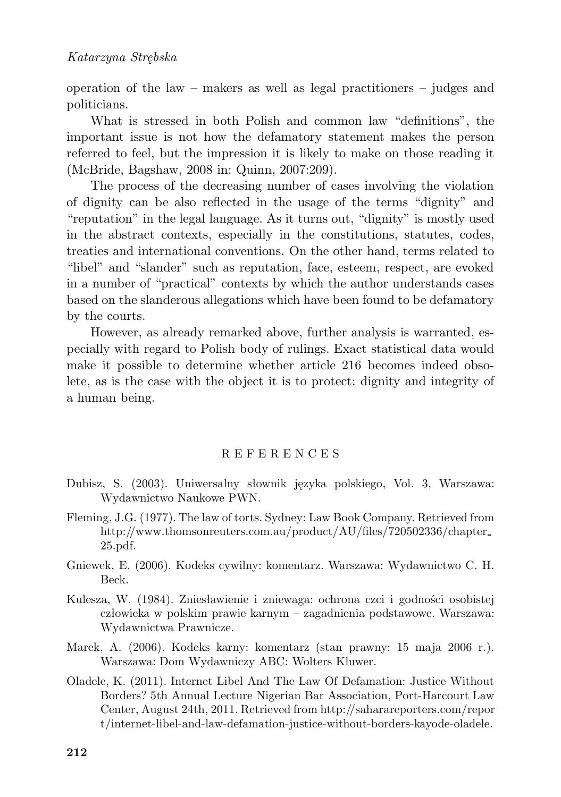operation of the law – makers as well as legal practitioners – judges and politicians.

What is stressed in both Polish and common law "definitions", the important issue is not how the defamatory statement makes the person referred to feel, but the impression it is likely to make on those reading it (McBride, Bagshaw, 2008 in: Quinn, 2007:209).

The process of the decreasing number of cases involving the violation of dignity can be also reflected in the usage of the terms "dignity" and "reputation" in the legal language. As it turns out, "dignity" is mostly used in the abstract contexts, especially in the constitutions, statutes, codes, treaties and international conventions. On the other hand, terms related to "libel" and "slander" such as reputation, face, esteem, respect, are evoked in a number of "practical" contexts by which the author understands cases based on the slanderous allegations which have been found to be defamatory by the courts.

However, as already remarked above, further analysis is warranted, especially with regard to Polish body of rulings. Exact statistical data would make it possible to determine whether article 216 becomes indeed obsolete, as is the case with the object it is to protect: dignity and integrity of a human being.

#### R E F E R E N C E S

- Dubisz, S. (2003). Uniwersalny słownik języka polskiego, Vol. 3, Warszawa: Wydawnictwo Naukowe PWN.
- Fleming, J.G. (1977). The law of torts. Sydney: Law Book Company. Retrieved from http://www.thomsonreuters.com.au/product/AU/files/720502336/chapter 25.pdf.
- Gniewek, E. (2006). Kodeks cywilny: komentarz. Warszawa: Wydawnictwo C. H. Beck.
- Kulesza, W. (1984). Zniesławienie i zniewaga: ochrona czci i godności osobistej człowieka w polskim prawie karnym – zagadnienia podstawowe. Warszawa: Wydawnictwa Prawnicze.
- Marek, A. (2006). Kodeks karny: komentarz (stan prawny: 15 maja 2006 r.). Warszawa: Dom Wydawniczy ABC: Wolters Kluwer.
- Oladele, K. (2011). Internet Libel And The Law Of Defamation: Justice Without Borders? 5th Annual Lecture Nigerian Bar Association, Port-Harcourt Law Center, August 24th, 2011. Retrieved from http://saharareporters.com/repor t/internet-libel-and-law-defamation-justice-without-borders-kayode-oladele.